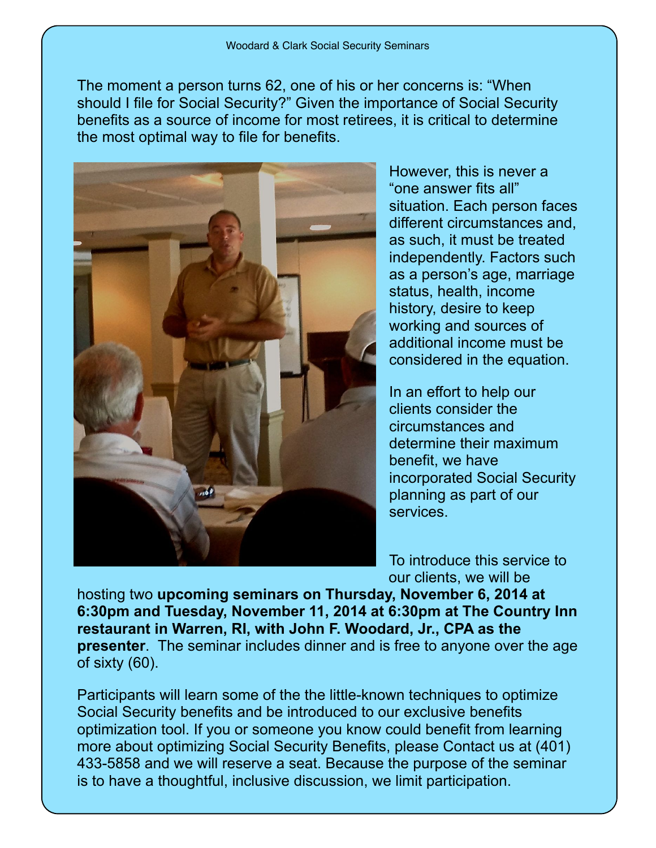The moment a person turns 62, one of his or her concerns is: "When should I file for Social Security?" Given the importance of Social Security benefits as a source of income for most retirees, it is critical to determine the most optimal way to file for benefits.



However, this is never a "one answer fits all" situation. Each person faces different circumstances and, as such, it must be treated independently. Factors such as a person's age, marriage status, health, income history, desire to keep working and sources of additional income must be considered in the equation.

In an effort to help our clients consider the circumstances and determine their maximum benefit, we have incorporated Social Security planning as part of our services.

To introduce this service to our clients, we will be

hosting two **upcoming seminars on Thursday, November 6, 2014 at 6:30pm and Tuesday, November 11, 2014 at 6:30pm at The Country Inn restaurant in Warren, RI, with John F. Woodard, Jr., CPA as the presenter**. The seminar includes dinner and is free to anyone over the age of sixty (60).

Participants will learn some of the the little-known techniques to optimize Social Security benefits and be introduced to our exclusive benefits optimization tool. If you or someone you know could benefit from learning more about optimizing Social Security Benefits, please Contact us at (401) 433-5858 and we will reserve a seat. Because the purpose of the seminar is to have a thoughtful, inclusive discussion, we limit participation.